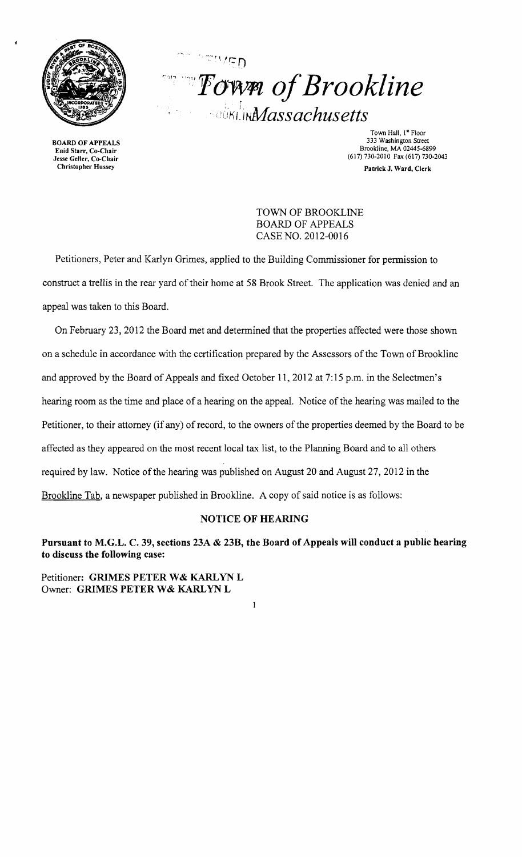

BOARD OF APPEALS Enid Starr, Co-Chair Jesse Geller, Co-Chair Christopher Hussey

 $\Box$  *Fown of Brookline DUCKLINA assachusetts* 

Town Hall, I<sup>st</sup> Floor 333 Washington Street Brookline, MA 02445-6899 (617) 730-2010 Fax (617) 730-2043 Patrick J. Ward, Clerk

TOWN OF BROOKLINE BOARD OF APPEALS CASE NO. 2012-0016

Petitioners, Peter and Karlyn Grimes, applied to the Building Commissioner for permission to construct a trellis in the rear yard of their horne at 58 Brook Street. The application was denied and an appeal was taken to this Board.

 $\sim$   $\sim$   $\sim$ 

On February 23, 2012 the Board met and determined that the properties affected were those shown on a schedule in accordance with the certification prepared by the Assessors ofthe Town of Brookline and approved by the Board of Appeals and fixed October 11, 2012 at 7:15 p.m. in the Selectmen's hearing room as the time and place of a hearing on the appeal. Notice of the hearing was mailed to the Petitioner, to their attorney (if any) of record, to the owners of the properties deemed by the Board to be affected as they appeared on the most recent local tax list, to the Planning Board and to all others required by law. Notice of the hearing was published on August 20 and August 27, 2012 in the Brookline Tab, a newspaper published in Brookline. A copy of said notice is as follows:

## NOTICE OF HEARING

Pursuant to M.G.L. C. 39, sections 23A & 23B, the Board of Appeals will conduct a public hearing to discuss the following case:

 $\mathbf{1}$ 

Petitioner: GRIMES PETER W& KARLYN L Owner: GRIMES PETER W& KARLYN L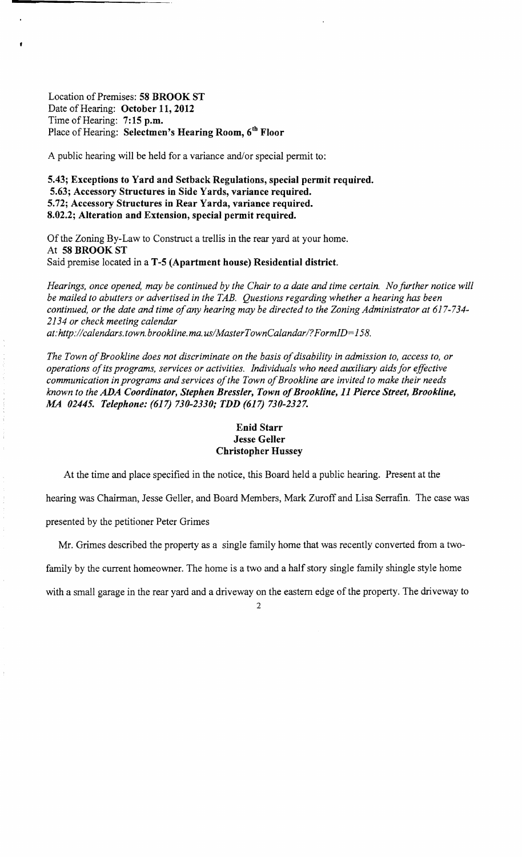Location of Premises: 58 BROOK ST Date of Hearing: October 11, 2012 Time of Hearing: 7:15 p.m. Place of Hearing: Selectmen's Hearing Room, 6th Floor

A public hearing will be held for a variance and/or special permit to:

5.43; Exceptions to Yard and Setback Regulations, special permit required. 5.63; Accessory Structures in Side Yards, variance required. 5.72; Accessory Structures in Rear Yarda, variance required. 8.02.2; Alteration and Extension, special permit required.

Of the Zoning By-Law to Construct a trellis in the rear yard at your home. At 58 BROOK ST Said premise located in a T-5 (Apartment house) Residential district.

*Hearings, once opened, may be continued by the Chair to a date and time certain. No further notice will be mailed to abutters or advertised in the TAB. Questions regarding whether a hearing has been continued, or the date and time ofany hearing may be directed to the Zoning Administrator at 617-734 2134 or check meeting calendar*  at: http://calendars.town.brookline.ma.us/MasterTownCalandar/?FormID=158.

The Town of Brookline does not discriminate on the basis of disability in admission to, access to, or *operations ofits programs, services or activities. Individuals who need auxiliary aids for effective communication in programs and services ofthe Town ofBrookline are invited to make their needs known to the ADA Coordinator, Stephen Bressler, Town ofBrookline,* 11 *Pierce Street, Brookline, AM 02445. Telephone:* (617) *730-2330; TDD* (617) *730-2327.* 

#### Enid Starr Jesse Geller Christopher Hussey

At the time and place specified in the notice, this Board held a public hearing. Present at the

hearing was Chairman, Jesse Geller, and Board Members, Mark Zuroff and Lisa Serrafin. The case was

presented by the petitioner Peter Grimes

Mr. Grimes described the property as a single family home that was recently converted from a two-

family by the current homeowner. The home is a two and a half story single family shingle style home

with a small garage in the rear yard and a driveway on the eastern edge of the property. The driveway to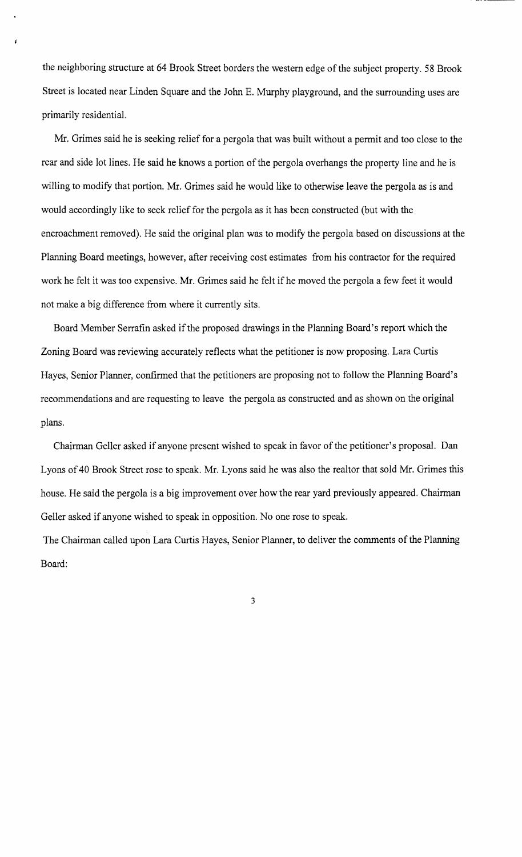the neighboring structure at 64 Brook Street borders the western edge of the subject property. 58 Brook Street is located near Linden Square and the John E. Murphy playground, and the surrounding uses are primarily residentiaL

Mr. Grimes said he is seeking relief for a pergola that was built without a pennit and too close to the rear and side lot lines. He said he knows a portion of the pergola overhangs the property line and he is willing to modify that portion. Mr. Grimes said he would like to otherwise leave the pergola as is and would accordingly like to seek relief for the pergola as it has been constructed (but with the encroachment removed). He said the original plan was to modify the pergola based on discussions at the Planning Board meetings, however, after receiving cost estimates from his contractor for the required work he felt it was too expensive. Mr. Grimes said he felt if he moved the pergola a few feet it would not make a big difference from where it currently sits.

Board Member Serrafin asked if the proposed drawings in the Planning Board's report which the Zoning Board was reviewing accurately reflects what the petitioner is now proposing. Lara Curtis Hayes, Senior Planner, confirmed that the petitioners are proposing not to follow the Planning Board's recommendations and are requesting to leave the pergola as constructed and as shown on the original plans.

Chairman Geller asked if anyone present wished to speak in favor of the petitioner's proposal. Dan Lyons of 40 Brook Street rose to speak. Mr. Lyons said he was also the realtor that sold Mr. Grimes this house. He said the pergola is a big improvement over how the rear yard previously appeared. Chairman Geller asked if anyone wished to speak in opposition. No one rose to speak.

The Chairman called upon Lara Curtis Hayes, Senior Planner, to deliver the comments of the Planning Board:

3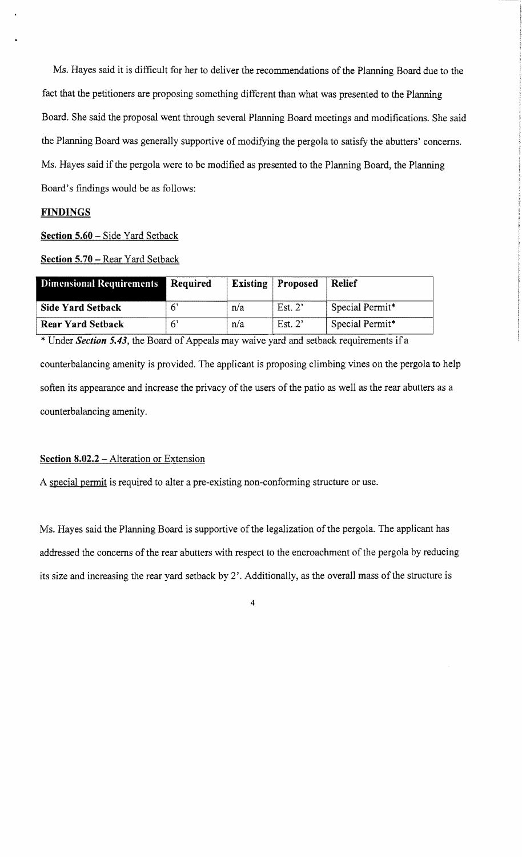Ms. Hayes said it is difficult for her to deliver the recommendations of the Planning Board due to the fact that the petitioners are proposing something different than what was presented to the Planning Board. She said the proposal went through several Planning Board meetings and modifications. She said the Planning Board was generally supportive of modifying the pergola to satisfy the abutters' concerns. Ms. Hayes said if the pergola were to be modified as presented to the Planning Board, the Planning Board's findings would be as follows:

## **FINDINGS**

Section 5.60 - Side Yard Setback

Section 5.70 - Rear Yard Setback

| Dimensional Requirements | Required | Existing | <b>Proposed</b>   | <b>Relief</b>   |
|--------------------------|----------|----------|-------------------|-----------------|
| <b>Side Yard Setback</b> |          | n/a      | Est. $2^{\prime}$ | Special Permit* |
| <b>Rear Yard Setback</b> |          | n/a      | Est. $2'$         | Special Permit* |

\* Under *Section 5.43*, the Board of Appeals may waive yard and setback requirements if a

counterbalancing amenity is provided. The applicant is proposing climbing vines on the pergola to help soften its appearance and increase the privacy of the users of the patio as well as the rear abutters as a counterbalancing amenity.

#### Section 8.02.2 - Alteration or Extension

A special permit is required to alter a pre-existing non-conforming structure or use.

Ms. Hayes said the Planning Board is supportive of the legalization of the pergola. The applicant has addressed the concerns of the rear abutters with respect to the encroachment of the pergola by reducing its size and increasing the rear yard setback by 2'. Additionally, as the overall mass of the structure is

4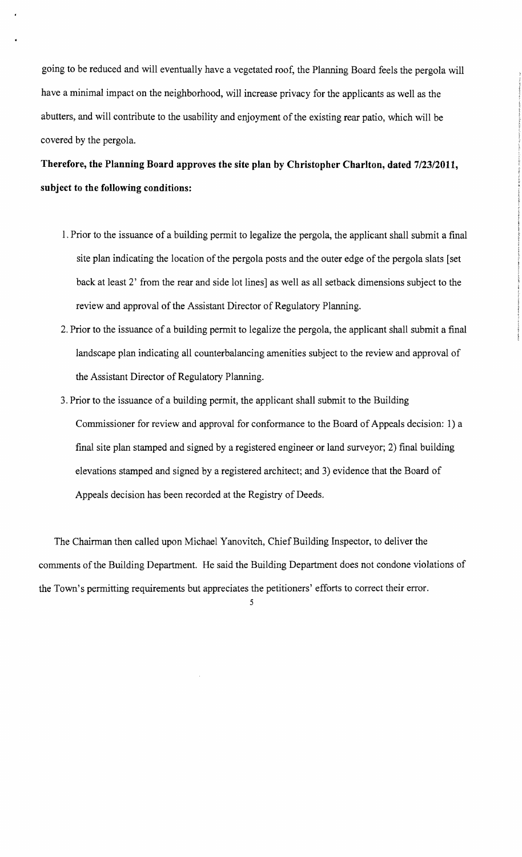going to be reduced and will eventually have a vegetated roof, the Planning Board feels the pergola will have a minimal impact on the neighborhood, will increase privacy for the applicants as well as the abutters, and will contribute to the usability and enjoyment of the existing rear patio, which will be covered by the pergola.

# **Therefore, the Planning Board** approves **the site plan by Christopher Charlton, dated** *7/23/2011,* **subject to the following conditions:**

- 1. Prior to the issuance of a building permit to legalize the pergola, the applicant shall submit a final site plan indicating the location of the pergola posts and the outer edge of the pergola slats [set back at least 2' from the rear and side lot lines] as well as all setback dimensions subject to the review and approval of the Assistant Director of Regulatory Planning.
- 2. Prior to the issuance of a building permit to legalize the pergola, the applicant shall submit a final landscape plan indicating all counterbalancing amenities subject to the review and approval of the Assistant Director of Regulatory Planning.
- 3. Prior to the issuance of a building permit, the applicant shall submit to the Building Commissioner for review and approval for conformance to the Board of Appeals decision: 1) a final site plan stamped and signed by a registered engineer or land surveyor; 2) final building elevations stamped and signed by a registered architect; and 3) evidence that the Board of Appeals decision has been recorded at the Registry of Deeds.

The Chairman then called upon Michael Yanovitch, Chief Building Inspector, to deliver the comments of the Building Department. He said the Building Department does not condone violations of the Town's permitting requirements but appreciates the petitioners' efforts to correct their error.

S